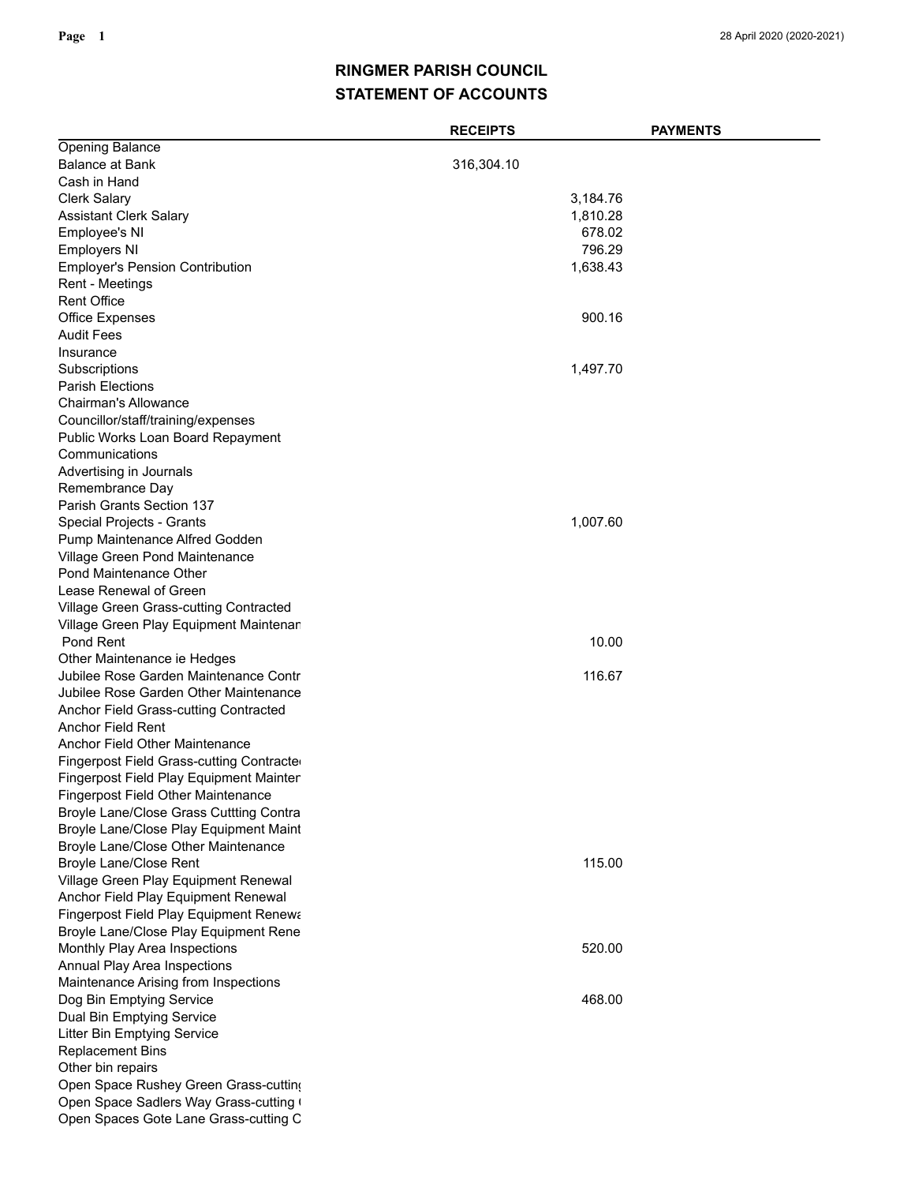## **STATEMENT OF ACCOUNTS RINGMER PARISH COUNCIL**

|                                           | <b>RECEIPTS</b> | <b>PAYMENTS</b> |
|-------------------------------------------|-----------------|-----------------|
| <b>Opening Balance</b>                    |                 |                 |
| Balance at Bank                           | 316,304.10      |                 |
| Cash in Hand                              |                 |                 |
| <b>Clerk Salary</b>                       |                 | 3,184.76        |
| Assistant Clerk Salary                    |                 | 1,810.28        |
| Employee's NI                             |                 | 678.02          |
| <b>Employers NI</b>                       |                 | 796.29          |
| <b>Employer's Pension Contribution</b>    |                 | 1,638.43        |
| Rent - Meetings                           |                 |                 |
| <b>Rent Office</b>                        |                 |                 |
| <b>Office Expenses</b>                    |                 | 900.16          |
| Audit Fees                                |                 |                 |
| Insurance                                 |                 |                 |
| Subscriptions                             |                 | 1,497.70        |
| <b>Parish Elections</b>                   |                 |                 |
| <b>Chairman's Allowance</b>               |                 |                 |
| Councillor/staff/training/expenses        |                 |                 |
| Public Works Loan Board Repayment         |                 |                 |
| Communications                            |                 |                 |
| Advertising in Journals                   |                 |                 |
| Remembrance Day                           |                 |                 |
| <b>Parish Grants Section 137</b>          |                 |                 |
| Special Projects - Grants                 |                 | 1,007.60        |
| Pump Maintenance Alfred Godden            |                 |                 |
| Village Green Pond Maintenance            |                 |                 |
| <b>Pond Maintenance Other</b>             |                 |                 |
| Lease Renewal of Green                    |                 |                 |
| Village Green Grass-cutting Contracted    |                 |                 |
| Village Green Play Equipment Maintenar    |                 |                 |
| Pond Rent                                 |                 | 10.00           |
| Other Maintenance ie Hedges               |                 |                 |
| Jubilee Rose Garden Maintenance Contr     |                 | 116.67          |
| Jubilee Rose Garden Other Maintenance     |                 |                 |
| Anchor Field Grass-cutting Contracted     |                 |                 |
| Anchor Field Rent                         |                 |                 |
| <b>Anchor Field Other Maintenance</b>     |                 |                 |
| Fingerpost Field Grass-cutting Contracte  |                 |                 |
| Fingerpost Field Play Equipment Mainter   |                 |                 |
| <b>Fingerpost Field Other Maintenance</b> |                 |                 |
| Broyle Lane/Close Grass Cuttting Contra   |                 |                 |
| Broyle Lane/Close Play Equipment Maint    |                 |                 |
| Broyle Lane/Close Other Maintenance       |                 |                 |
| <b>Broyle Lane/Close Rent</b>             |                 | 115.00          |
| Village Green Play Equipment Renewal      |                 |                 |
| Anchor Field Play Equipment Renewal       |                 |                 |
| Fingerpost Field Play Equipment Renewa    |                 |                 |
| Broyle Lane/Close Play Equipment Rene     |                 |                 |
| Monthly Play Area Inspections             |                 | 520.00          |
| Annual Play Area Inspections              |                 |                 |
| Maintenance Arising from Inspections      |                 |                 |
| Dog Bin Emptying Service                  |                 | 468.00          |
| Dual Bin Emptying Service                 |                 |                 |
| <b>Litter Bin Emptying Service</b>        |                 |                 |
| <b>Replacement Bins</b>                   |                 |                 |
| Other bin repairs                         |                 |                 |
| Open Space Rushey Green Grass-cutting     |                 |                 |
| Open Space Sadlers Way Grass-cutting (    |                 |                 |
| Open Spaces Gote Lane Grass-cutting C     |                 |                 |